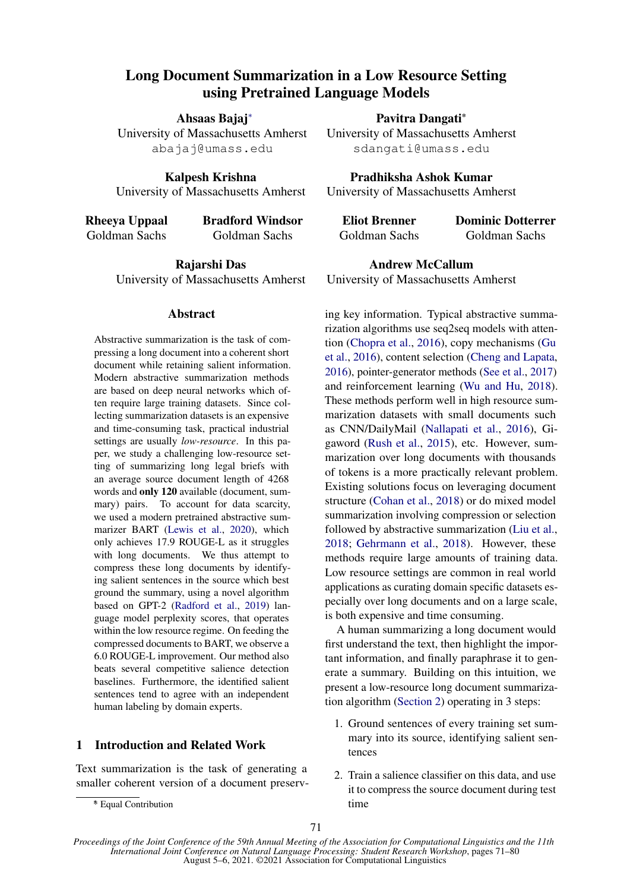# Long Document Summarization in a Low Resource Setting using Pretrained Language Models

Ahsaas Bajaj<sup>∗</sup>

University of Massachusetts Amherst abajaj@umass.edu

Kalpesh Krishna University of Massachusetts Amherst

Rheeya Uppaal Goldman Sachs Bradford Windsor Goldman Sachs

> Rajarshi Das University of Massachusetts Amherst

#### **Abstract**

Abstractive summarization is the task of compressing a long document into a coherent short document while retaining salient information. Modern abstractive summarization methods are based on deep neural networks which often require large training datasets. Since collecting summarization datasets is an expensive and time-consuming task, practical industrial settings are usually *low-resource*. In this paper, we study a challenging low-resource setting of summarizing long legal briefs with an average source document length of 4268 words and only 120 available (document, summary) pairs. To account for data scarcity, we used a modern pretrained abstractive summarizer BART [\(Lewis et al.,](#page-4-0) [2020\)](#page-4-0), which only achieves 17.9 ROUGE-L as it struggles with long documents. We thus attempt to compress these long documents by identifying salient sentences in the source which best ground the summary, using a novel algorithm based on GPT-2 [\(Radford et al.,](#page-5-0) [2019\)](#page-5-0) language model perplexity scores, that operates within the low resource regime. On feeding the compressed documents to BART, we observe a 6.0 ROUGE-L improvement. Our method also beats several competitive salience detection baselines. Furthermore, the identified salient sentences tend to agree with an independent human labeling by domain experts.

# 1 Introduction and Related Work

Text summarization is the task of generating a smaller coherent version of a document preservPavitra Dangati\*

University of Massachusetts Amherst sdangati@umass.edu

Pradhiksha Ashok Kumar University of Massachusetts Amherst

| Eliot Brenner | <b>Dominic Dotterrer</b> |
|---------------|--------------------------|
| Goldman Sachs | Goldman Sachs            |

Andrew McCallum University of Massachusetts Amherst

ing key information. Typical abstractive summarization algorithms use seq2seq models with attention [\(Chopra et al.,](#page-4-1) [2016\)](#page-4-1), copy mechanisms [\(Gu](#page-4-2) [et al.,](#page-4-2) [2016\)](#page-4-2), content selection [\(Cheng and Lapata,](#page-4-3) [2016\)](#page-4-3), pointer-generator methods [\(See et al.,](#page-5-1) [2017\)](#page-5-1) and reinforcement learning [\(Wu and Hu,](#page-5-2) [2018\)](#page-5-2). These methods perform well in high resource summarization datasets with small documents such as CNN/DailyMail [\(Nallapati et al.,](#page-5-3) [2016\)](#page-5-3), Gigaword [\(Rush et al.,](#page-5-4) [2015\)](#page-5-4), etc. However, summarization over long documents with thousands of tokens is a more practically relevant problem. Existing solutions focus on leveraging document structure [\(Cohan et al.,](#page-4-4) [2018\)](#page-4-4) or do mixed model summarization involving compression or selection followed by abstractive summarization [\(Liu et al.,](#page-5-5) [2018;](#page-5-5) [Gehrmann et al.,](#page-4-5) [2018\)](#page-4-5). However, these methods require large amounts of training data. Low resource settings are common in real world applications as curating domain specific datasets especially over long documents and on a large scale, is both expensive and time consuming.

A human summarizing a long document would first understand the text, then highlight the important information, and finally paraphrase it to generate a summary. Building on this intuition, we present a low-resource long document summarization algorithm [\(Section 2\)](#page-1-0) operating in 3 steps:

- 1. Ground sentences of every training set summary into its source, identifying salient sentences
- 2. Train a salience classifier on this data, and use it to compress the source document during test time

<sup>∗</sup> \* Equal Contribution

*Proceedings of the Joint Conference of the 59th Annual Meeting of the Association for Computational Linguistics and the 11th International Joint Conference on Natural Language Processing: Student Research Workshop*, pages 71–80 August 5–6, 2021. ©2021 Association for Computational Linguistics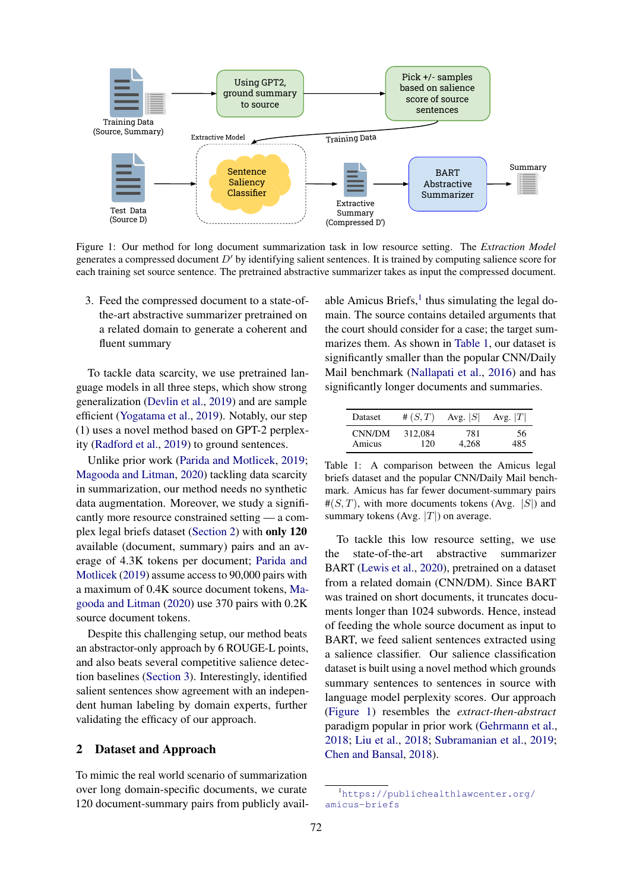<span id="page-1-3"></span>

Figure 1: Our method for long document summarization task in low resource setting. The *Extraction Model* generates a compressed document  $D'$  by identifying salient sentences. It is trained by computing salience score for each training set source sentence. The pretrained abstractive summarizer takes as input the compressed document.

3. Feed the compressed document to a state-ofthe-art abstractive summarizer pretrained on a related domain to generate a coherent and fluent summary

To tackle data scarcity, we use pretrained language models in all three steps, which show strong generalization [\(Devlin et al.,](#page-4-6) [2019\)](#page-4-6) and are sample efficient [\(Yogatama et al.,](#page-5-6) [2019\)](#page-5-6). Notably, our step (1) uses a novel method based on GPT-2 perplexity [\(Radford et al.,](#page-5-0) [2019\)](#page-5-0) to ground sentences.

Unlike prior work [\(Parida and Motlicek,](#page-5-7) [2019;](#page-5-7) [Magooda and Litman,](#page-5-8) [2020\)](#page-5-8) tackling data scarcity in summarization, our method needs no synthetic data augmentation. Moreover, we study a significantly more resource constrained setting — a complex legal briefs dataset [\(Section 2\)](#page-1-0) with only 120 available (document, summary) pairs and an average of 4.3K tokens per document; [Parida and](#page-5-7) [Motlicek](#page-5-7) [\(2019\)](#page-5-7) assume access to 90,000 pairs with a maximum of 0.4K source document tokens, [Ma](#page-5-8)[gooda and Litman](#page-5-8) [\(2020\)](#page-5-8) use 370 pairs with 0.2K source document tokens.

Despite this challenging setup, our method beats an abstractor-only approach by 6 ROUGE-L points, and also beats several competitive salience detection baselines [\(Section 3\)](#page-2-0). Interestingly, identified salient sentences show agreement with an independent human labeling by domain experts, further validating the efficacy of our approach.

#### <span id="page-1-0"></span>2 Dataset and Approach

To mimic the real world scenario of summarization over long domain-specific documents, we curate 120 document-summary pairs from publicly avail-

able Amicus Briefs, $<sup>1</sup>$  $<sup>1</sup>$  $<sup>1</sup>$  thus simulating the legal do-</sup> main. The source contains detailed arguments that the court should consider for a case; the target summarizes them. As shown in [Table 1,](#page-1-2) our dataset is significantly smaller than the popular CNN/Daily Mail benchmark [\(Nallapati et al.,](#page-5-3) [2016\)](#page-5-3) and has significantly longer documents and summaries.

<span id="page-1-2"></span>

| <b>Dataset</b> | # $(S,T)$ | Avg. $ S $ | Avg. $ T $ |
|----------------|-----------|------------|------------|
| CNN/DM         | 312.084   | 781        | 56         |
| Amicus         | 120       | 4.268      | 485.       |

Table 1: A comparison between the Amicus legal briefs dataset and the popular CNN/Daily Mail benchmark. Amicus has far fewer document-summary pairs  $\#(S,T)$ , with more documents tokens (Avg. |S|) and summary tokens (Avg.  $|T|$ ) on average.

To tackle this low resource setting, we use the state-of-the-art abstractive summarizer BART [\(Lewis et al.,](#page-4-0) [2020\)](#page-4-0), pretrained on a dataset from a related domain (CNN/DM). Since BART was trained on short documents, it truncates documents longer than 1024 subwords. Hence, instead of feeding the whole source document as input to BART, we feed salient sentences extracted using a salience classifier. Our salience classification dataset is built using a novel method which grounds summary sentences to sentences in source with language model perplexity scores. Our approach [\(Figure 1\)](#page-1-3) resembles the *extract-then-abstract* paradigm popular in prior work [\(Gehrmann et al.,](#page-4-5) [2018;](#page-4-5) [Liu et al.,](#page-5-5) [2018;](#page-5-5) [Subramanian et al.,](#page-5-9) [2019;](#page-5-9) [Chen and Bansal,](#page-4-7) [2018\)](#page-4-7).

<span id="page-1-1"></span><sup>1</sup>[https://publichealthlawcenter.org/](https://publichealthlawcenter.org/amicus-briefs) [amicus-briefs](https://publichealthlawcenter.org/amicus-briefs)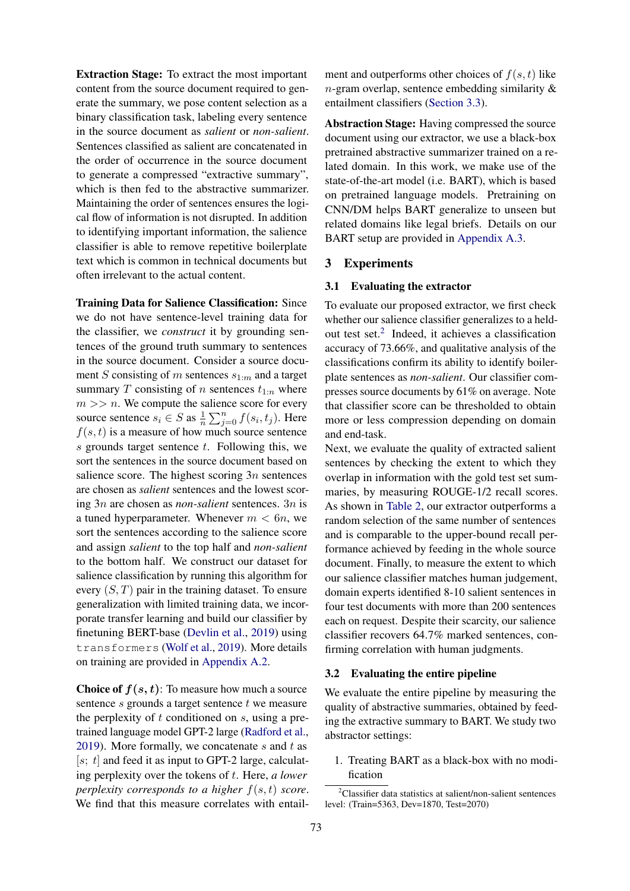Extraction Stage: To extract the most important content from the source document required to generate the summary, we pose content selection as a binary classification task, labeling every sentence in the source document as *salient* or *non-salient*. Sentences classified as salient are concatenated in the order of occurrence in the source document to generate a compressed "extractive summary", which is then fed to the abstractive summarizer. Maintaining the order of sentences ensures the logical flow of information is not disrupted. In addition to identifying important information, the salience classifier is able to remove repetitive boilerplate text which is common in technical documents but often irrelevant to the actual content.

Training Data for Salience Classification: Since we do not have sentence-level training data for the classifier, we *construct* it by grounding sentences of the ground truth summary to sentences in the source document. Consider a source document S consisting of m sentences  $s_{1:m}$  and a target summary T consisting of n sentences  $t_{1:n}$  where  $m \gg n$ . We compute the salience score for every source sentence  $s_i \in S$  as  $\frac{1}{n} \sum_{j=0}^n f(s_i, t_j)$ . Here  $f(s, t)$  is a measure of how much source sentence  $s$  grounds target sentence  $t$ . Following this, we sort the sentences in the source document based on salience score. The highest scoring  $3n$  sentences are chosen as *salient* sentences and the lowest scoring 3n are chosen as *non-salient* sentences. 3n is a tuned hyperparameter. Whenever  $m < 6n$ , we sort the sentences according to the salience score and assign *salient* to the top half and *non-salient* to the bottom half. We construct our dataset for salience classification by running this algorithm for every  $(S, T)$  pair in the training dataset. To ensure generalization with limited training data, we incorporate transfer learning and build our classifier by finetuning BERT-base [\(Devlin et al.,](#page-4-6) [2019\)](#page-4-6) using transformers [\(Wolf et al.,](#page-5-10) [2019\)](#page-5-10). More details on training are provided in [Appendix A.2.](#page-6-0)

**Choice of**  $f(s, t)$ **:** To measure how much a source sentence  $s$  grounds a target sentence  $t$  we measure the perplexity of  $t$  conditioned on  $s$ , using a pretrained language model GPT-2 large [\(Radford et al.,](#page-5-0) [2019\)](#page-5-0). More formally, we concatenate  $s$  and  $t$  as  $[s; t]$  and feed it as input to GPT-2 large, calculating perplexity over the tokens of t. Here, *a lower perplexity corresponds to a higher*  $f(s, t)$  *score.* We find that this measure correlates with entailment and outperforms other choices of  $f(s, t)$  like  $n$ -gram overlap, sentence embedding similarity  $\&$ entailment classifiers [\(Section 3.3\)](#page-3-0).

Abstraction Stage: Having compressed the source document using our extractor, we use a black-box pretrained abstractive summarizer trained on a related domain. In this work, we make use of the state-of-the-art model (i.e. BART), which is based on pretrained language models. Pretraining on CNN/DM helps BART generalize to unseen but related domains like legal briefs. Details on our BART setup are provided in [Appendix A.3.](#page-7-0)

#### <span id="page-2-0"></span>3 Experiments

#### 3.1 Evaluating the extractor

To evaluate our proposed extractor, we first check whether our salience classifier generalizes to a heldout test set.[2](#page-2-1) Indeed, it achieves a classification accuracy of 73.66%, and qualitative analysis of the classifications confirm its ability to identify boilerplate sentences as *non-salient*. Our classifier compresses source documents by 61% on average. Note that classifier score can be thresholded to obtain more or less compression depending on domain and end-task.

Next, we evaluate the quality of extracted salient sentences by checking the extent to which they overlap in information with the gold test set summaries, by measuring ROUGE-1/2 recall scores. As shown in [Table 2,](#page-3-1) our extractor outperforms a random selection of the same number of sentences and is comparable to the upper-bound recall performance achieved by feeding in the whole source document. Finally, to measure the extent to which our salience classifier matches human judgement, domain experts identified 8-10 salient sentences in four test documents with more than 200 sentences each on request. Despite their scarcity, our salience classifier recovers 64.7% marked sentences, confirming correlation with human judgments.

#### 3.2 Evaluating the entire pipeline

We evaluate the entire pipeline by measuring the quality of abstractive summaries, obtained by feeding the extractive summary to BART. We study two abstractor settings:

1. Treating BART as a black-box with no modification

<span id="page-2-1"></span> $2$ Classifier data statistics at salient/non-salient sentences level: (Train=5363, Dev=1870, Test=2070)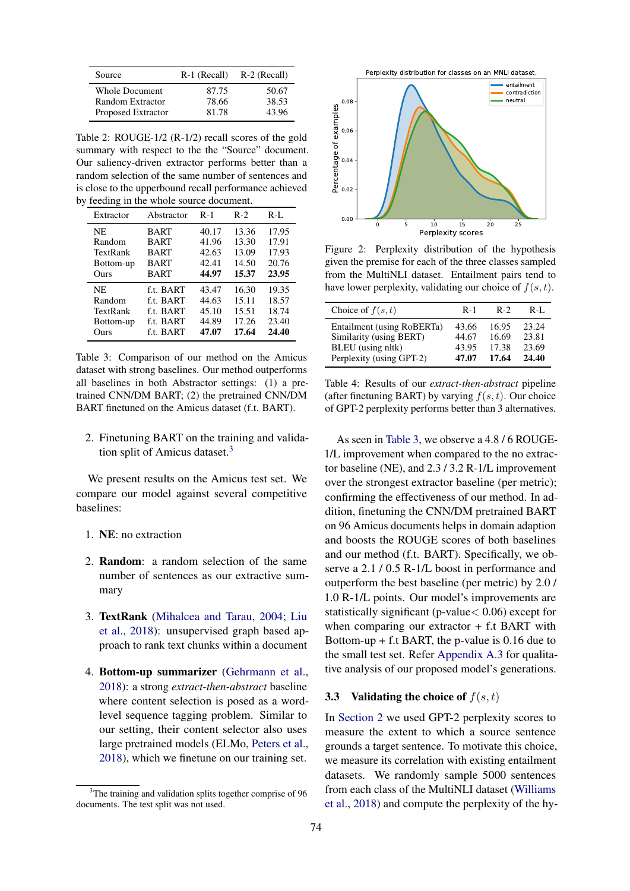<span id="page-3-1"></span>

| Source                | R-1 (Recall) | R-2 (Recall) |  |
|-----------------------|--------------|--------------|--|
| <b>Whole Document</b> | 87.75        | 50.67        |  |
| Random Extractor      | 78.66        | 38.53        |  |
| Proposed Extractor    | 81.78        | 43.96        |  |

Table 2: ROUGE-1/2 (R-1/2) recall scores of the gold summary with respect to the the "Source" document. Our saliency-driven extractor performs better than a random selection of the same number of sentences and is close to the upperbound recall performance achieved by feeding in the whole source document.

<span id="page-3-3"></span>

| Extractor | Abstractor  | $R-1$ | $R-2$ | $R-I$ . |
|-----------|-------------|-------|-------|---------|
| NE        | <b>BART</b> | 40.17 | 13.36 | 17.95   |
| Random    | <b>BART</b> | 41.96 | 13.30 | 17.91   |
| TextRank  | <b>BART</b> | 42.63 | 13.09 | 17.93   |
| Bottom-up | <b>BART</b> | 42.41 | 14.50 | 20.76   |
| Ours      | <b>BART</b> | 44.97 | 15.37 | 23.95   |
| NE        | f.t. BART   | 43.47 | 16.30 | 19.35   |
| Random    | f.t. BART   | 44.63 | 15.11 | 18.57   |
| TextRank  | f.t. BART   | 45.10 | 15.51 | 18.74   |
| Bottom-up | f.t. BART   | 44.89 | 17.26 | 23.40   |
| Ours      | f.t. BART   | 47.07 | 17.64 | 24.40   |

Table 3: Comparison of our method on the Amicus dataset with strong baselines. Our method outperforms all baselines in both Abstractor settings: (1) a pretrained CNN/DM BART; (2) the pretrained CNN/DM BART finetuned on the Amicus dataset (f.t. BART).

2. Finetuning BART on the training and validation split of Amicus dataset. $3$ 

We present results on the Amicus test set. We compare our model against several competitive baselines:

- 1. NE: no extraction
- 2. Random: a random selection of the same number of sentences as our extractive summary
- 3. TextRank [\(Mihalcea and Tarau,](#page-5-11) [2004;](#page-5-11) [Liu](#page-5-5) [et al.,](#page-5-5) [2018\)](#page-5-5): unsupervised graph based approach to rank text chunks within a document
- 4. Bottom-up summarizer [\(Gehrmann et al.,](#page-4-5) [2018\)](#page-4-5): a strong *extract-then-abstract* baseline where content selection is posed as a wordlevel sequence tagging problem. Similar to our setting, their content selector also uses large pretrained models (ELMo, [Peters et al.,](#page-5-12) [2018\)](#page-5-12), which we finetune on our training set.

<span id="page-3-4"></span>

Figure 2: Perplexity distribution of the hypothesis given the premise for each of the three classes sampled from the MultiNLI dataset. Entailment pairs tend to have lower perplexity, validating our choice of  $f(s, t)$ .

<span id="page-3-5"></span>

| Choice of $f(s,t)$         | $R-1$ | $R-2$ | R-L   |
|----------------------------|-------|-------|-------|
| Entailment (using RoBERTa) | 43.66 | 16.95 | 23.24 |
| Similarity (using BERT)    | 44.67 | 16.69 | 23.81 |
| BLEU (using nltk)          | 43.95 | 17.38 | 23.69 |
| Perplexity (using GPT-2)   | 47.07 | 17.64 | 24.40 |

Table 4: Results of our *extract-then-abstract* pipeline (after finetuning BART) by varying  $f(s, t)$ . Our choice of GPT-2 perplexity performs better than 3 alternatives.

As seen in [Table 3,](#page-3-3) we observe a 4.8 / 6 ROUGE-1/L improvement when compared to the no extractor baseline (NE), and 2.3 / 3.2 R-1/L improvement over the strongest extractor baseline (per metric); confirming the effectiveness of our method. In addition, finetuning the CNN/DM pretrained BART on 96 Amicus documents helps in domain adaption and boosts the ROUGE scores of both baselines and our method (f.t. BART). Specifically, we observe a 2.1 / 0.5 R-1/L boost in performance and outperform the best baseline (per metric) by 2.0 / 1.0 R-1/L points. Our model's improvements are statistically significant (p-value< 0.06) except for when comparing our extractor  $+$  f.t BART with Bottom-up + f.t BART, the p-value is 0.16 due to the small test set. Refer [Appendix A.3](#page-7-0) for qualitative analysis of our proposed model's generations.

### <span id="page-3-0"></span>3.3 Validating the choice of  $f(s, t)$

In [Section 2](#page-1-0) we used GPT-2 perplexity scores to measure the extent to which a source sentence grounds a target sentence. To motivate this choice, we measure its correlation with existing entailment datasets. We randomly sample 5000 sentences from each class of the MultiNLI dataset [\(Williams](#page-5-13) [et al.,](#page-5-13) [2018\)](#page-5-13) and compute the perplexity of the hy-

<span id="page-3-2"></span> $3$ The training and validation splits together comprise of 96 documents. The test split was not used.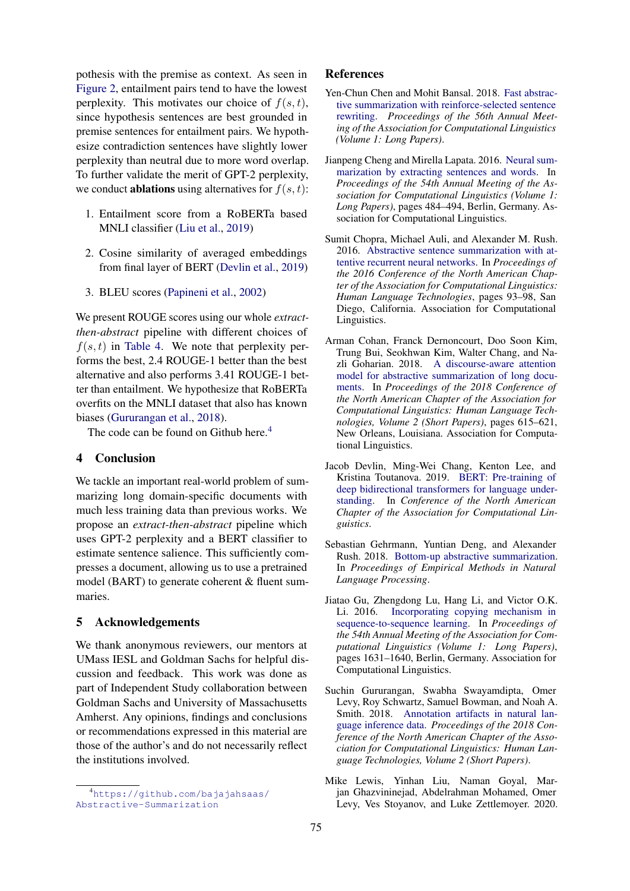pothesis with the premise as context. As seen in [Figure 2,](#page-3-4) entailment pairs tend to have the lowest perplexity. This motivates our choice of  $f(s, t)$ , since hypothesis sentences are best grounded in premise sentences for entailment pairs. We hypothesize contradiction sentences have slightly lower perplexity than neutral due to more word overlap. To further validate the merit of GPT-2 perplexity, we conduct **ablations** using alternatives for  $f(s, t)$ :

- 1. Entailment score from a RoBERTa based MNLI classifier [\(Liu et al.,](#page-5-14) [2019\)](#page-5-14)
- 2. Cosine similarity of averaged embeddings from final layer of BERT [\(Devlin et al.,](#page-4-6) [2019\)](#page-4-6)
- 3. BLEU scores [\(Papineni et al.,](#page-5-15) [2002\)](#page-5-15)

We present ROUGE scores using our whole *extractthen-abstract* pipeline with different choices of  $f(s, t)$  in [Table 4.](#page-3-5) We note that perplexity performs the best, 2.4 ROUGE-1 better than the best alternative and also performs 3.41 ROUGE-1 better than entailment. We hypothesize that RoBERTa overfits on the MNLI dataset that also has known biases [\(Gururangan et al.,](#page-4-8) [2018\)](#page-4-8).

The code can be found on Github here.<sup>[4](#page-4-9)</sup>

### 4 Conclusion

We tackle an important real-world problem of summarizing long domain-specific documents with much less training data than previous works. We propose an *extract-then-abstract* pipeline which uses GPT-2 perplexity and a BERT classifier to estimate sentence salience. This sufficiently compresses a document, allowing us to use a pretrained model (BART) to generate coherent & fluent summaries.

### 5 Acknowledgements

We thank anonymous reviewers, our mentors at UMass IESL and Goldman Sachs for helpful discussion and feedback. This work was done as part of Independent Study collaboration between Goldman Sachs and University of Massachusetts Amherst. Any opinions, findings and conclusions or recommendations expressed in this material are those of the author's and do not necessarily reflect the institutions involved.

#### References

- <span id="page-4-7"></span>Yen-Chun Chen and Mohit Bansal. 2018. [Fast abstrac](https://doi.org/10.18653/v1/p18-1063)[tive summarization with reinforce-selected sentence](https://doi.org/10.18653/v1/p18-1063) [rewriting.](https://doi.org/10.18653/v1/p18-1063) *Proceedings of the 56th Annual Meeting of the Association for Computational Linguistics (Volume 1: Long Papers)*.
- <span id="page-4-3"></span>Jianpeng Cheng and Mirella Lapata. 2016. [Neural sum](https://doi.org/10.18653/v1/P16-1046)[marization by extracting sentences and words.](https://doi.org/10.18653/v1/P16-1046) In *Proceedings of the 54th Annual Meeting of the Association for Computational Linguistics (Volume 1: Long Papers)*, pages 484–494, Berlin, Germany. Association for Computational Linguistics.
- <span id="page-4-1"></span>Sumit Chopra, Michael Auli, and Alexander M. Rush. 2016. [Abstractive sentence summarization with at](https://doi.org/10.18653/v1/N16-1012)[tentive recurrent neural networks.](https://doi.org/10.18653/v1/N16-1012) In *Proceedings of the 2016 Conference of the North American Chapter of the Association for Computational Linguistics: Human Language Technologies*, pages 93–98, San Diego, California. Association for Computational Linguistics.
- <span id="page-4-4"></span>Arman Cohan, Franck Dernoncourt, Doo Soon Kim, Trung Bui, Seokhwan Kim, Walter Chang, and Nazli Goharian. 2018. [A discourse-aware attention](https://doi.org/10.18653/v1/N18-2097) [model for abstractive summarization of long docu](https://doi.org/10.18653/v1/N18-2097)[ments.](https://doi.org/10.18653/v1/N18-2097) In *Proceedings of the 2018 Conference of the North American Chapter of the Association for Computational Linguistics: Human Language Technologies, Volume 2 (Short Papers)*, pages 615–621, New Orleans, Louisiana. Association for Computational Linguistics.
- <span id="page-4-6"></span>Jacob Devlin, Ming-Wei Chang, Kenton Lee, and Kristina Toutanova. 2019. [BERT: Pre-training of](https://doi.org/10.18653/v1/N19-1423) [deep bidirectional transformers for language under](https://doi.org/10.18653/v1/N19-1423)[standing.](https://doi.org/10.18653/v1/N19-1423) In *Conference of the North American Chapter of the Association for Computational Linguistics*.
- <span id="page-4-5"></span>Sebastian Gehrmann, Yuntian Deng, and Alexander Rush. 2018. [Bottom-up abstractive summarization.](https://doi.org/10.18653/v1/D18-1443) In *Proceedings of Empirical Methods in Natural Language Processing*.
- <span id="page-4-2"></span>Jiatao Gu, Zhengdong Lu, Hang Li, and Victor O.K. Li. 2016. [Incorporating copying mechanism in](https://doi.org/10.18653/v1/P16-1154) [sequence-to-sequence learning.](https://doi.org/10.18653/v1/P16-1154) In *Proceedings of the 54th Annual Meeting of the Association for Computational Linguistics (Volume 1: Long Papers)*, pages 1631–1640, Berlin, Germany. Association for Computational Linguistics.
- <span id="page-4-8"></span>Suchin Gururangan, Swabha Swayamdipta, Omer Levy, Roy Schwartz, Samuel Bowman, and Noah A. Smith. 2018. [Annotation artifacts in natural lan](https://doi.org/10.18653/v1/n18-2017)[guage inference data.](https://doi.org/10.18653/v1/n18-2017) *Proceedings of the 2018 Conference of the North American Chapter of the Association for Computational Linguistics: Human Language Technologies, Volume 2 (Short Papers)*.
- <span id="page-4-0"></span>Mike Lewis, Yinhan Liu, Naman Goyal, Marjan Ghazvininejad, Abdelrahman Mohamed, Omer Levy, Ves Stoyanov, and Luke Zettlemoyer. 2020.

<span id="page-4-9"></span><sup>4</sup>[https://github.com/bajajahsaas/](https://github.com/bajajahsaas/Abstractive-Summarization) [Abstractive-Summarization](https://github.com/bajajahsaas/Abstractive-Summarization)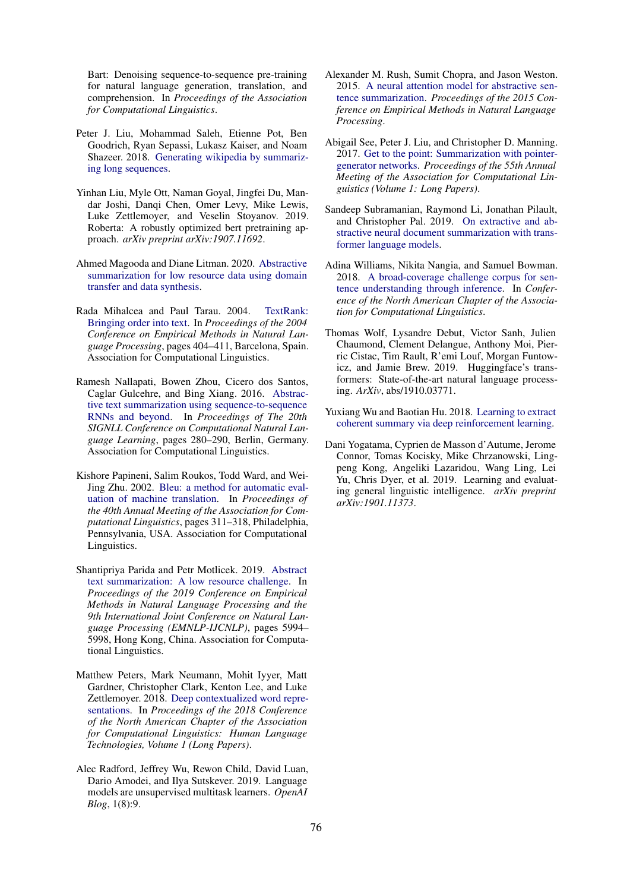Bart: Denoising sequence-to-sequence pre-training for natural language generation, translation, and comprehension. In *Proceedings of the Association for Computational Linguistics*.

- <span id="page-5-5"></span>Peter J. Liu, Mohammad Saleh, Etienne Pot, Ben Goodrich, Ryan Sepassi, Lukasz Kaiser, and Noam Shazeer. 2018. [Generating wikipedia by summariz](http://arxiv.org/abs/1801.10198)[ing long sequences.](http://arxiv.org/abs/1801.10198)
- <span id="page-5-14"></span>Yinhan Liu, Myle Ott, Naman Goyal, Jingfei Du, Mandar Joshi, Danqi Chen, Omer Levy, Mike Lewis, Luke Zettlemoyer, and Veselin Stoyanov. 2019. Roberta: A robustly optimized bert pretraining approach. *arXiv preprint arXiv:1907.11692*.
- <span id="page-5-8"></span>Ahmed Magooda and Diane Litman. 2020. [Abstractive](http://arxiv.org/abs/2002.03407) [summarization for low resource data using domain](http://arxiv.org/abs/2002.03407) [transfer and data synthesis.](http://arxiv.org/abs/2002.03407)
- <span id="page-5-11"></span>Rada Mihalcea and Paul Tarau. 2004. [TextRank:](https://www.aclweb.org/anthology/W04-3252) [Bringing order into text.](https://www.aclweb.org/anthology/W04-3252) In *Proceedings of the 2004 Conference on Empirical Methods in Natural Language Processing*, pages 404–411, Barcelona, Spain. Association for Computational Linguistics.
- <span id="page-5-3"></span>Ramesh Nallapati, Bowen Zhou, Cicero dos Santos, Caglar Gulcehre, and Bing Xiang. 2016. [Abstrac](https://doi.org/10.18653/v1/K16-1028)[tive text summarization using sequence-to-sequence](https://doi.org/10.18653/v1/K16-1028) [RNNs and beyond.](https://doi.org/10.18653/v1/K16-1028) In *Proceedings of The 20th SIGNLL Conference on Computational Natural Language Learning*, pages 280–290, Berlin, Germany. Association for Computational Linguistics.
- <span id="page-5-15"></span>Kishore Papineni, Salim Roukos, Todd Ward, and Wei-Jing Zhu. 2002. [Bleu: a method for automatic eval](https://doi.org/10.3115/1073083.1073135)[uation of machine translation.](https://doi.org/10.3115/1073083.1073135) In *Proceedings of the 40th Annual Meeting of the Association for Computational Linguistics*, pages 311–318, Philadelphia, Pennsylvania, USA. Association for Computational Linguistics.
- <span id="page-5-7"></span>Shantipriya Parida and Petr Motlicek. 2019. [Abstract](https://doi.org/10.18653/v1/D19-1616) [text summarization: A low resource challenge.](https://doi.org/10.18653/v1/D19-1616) In *Proceedings of the 2019 Conference on Empirical Methods in Natural Language Processing and the 9th International Joint Conference on Natural Language Processing (EMNLP-IJCNLP)*, pages 5994– 5998, Hong Kong, China. Association for Computational Linguistics.
- <span id="page-5-12"></span>Matthew Peters, Mark Neumann, Mohit Iyyer, Matt Gardner, Christopher Clark, Kenton Lee, and Luke Zettlemoyer. 2018. [Deep contextualized word repre](https://doi.org/10.18653/v1/N18-1202)[sentations.](https://doi.org/10.18653/v1/N18-1202) In *Proceedings of the 2018 Conference of the North American Chapter of the Association for Computational Linguistics: Human Language Technologies, Volume 1 (Long Papers)*.
- <span id="page-5-0"></span>Alec Radford, Jeffrey Wu, Rewon Child, David Luan, Dario Amodei, and Ilya Sutskever. 2019. Language models are unsupervised multitask learners. *OpenAI Blog*, 1(8):9.
- <span id="page-5-4"></span>Alexander M. Rush, Sumit Chopra, and Jason Weston. 2015. [A neural attention model for abstractive sen](https://doi.org/10.18653/v1/d15-1044)[tence summarization.](https://doi.org/10.18653/v1/d15-1044) *Proceedings of the 2015 Conference on Empirical Methods in Natural Language Processing*.
- <span id="page-5-1"></span>Abigail See, Peter J. Liu, and Christopher D. Manning. 2017. [Get to the point: Summarization with pointer](https://doi.org/10.18653/v1/p17-1099)[generator networks.](https://doi.org/10.18653/v1/p17-1099) *Proceedings of the 55th Annual Meeting of the Association for Computational Linguistics (Volume 1: Long Papers)*.
- <span id="page-5-9"></span>Sandeep Subramanian, Raymond Li, Jonathan Pilault, and Christopher Pal. 2019. [On extractive and ab](http://arxiv.org/abs/1909.03186)[stractive neural document summarization with trans](http://arxiv.org/abs/1909.03186)[former language models.](http://arxiv.org/abs/1909.03186)
- <span id="page-5-13"></span>Adina Williams, Nikita Nangia, and Samuel Bowman. 2018. [A broad-coverage challenge corpus for sen](http://aclweb.org/anthology/N18-1101)[tence understanding through inference.](http://aclweb.org/anthology/N18-1101) In *Conference of the North American Chapter of the Association for Computational Linguistics*.
- <span id="page-5-10"></span>Thomas Wolf, Lysandre Debut, Victor Sanh, Julien Chaumond, Clement Delangue, Anthony Moi, Pierric Cistac, Tim Rault, R'emi Louf, Morgan Funtowicz, and Jamie Brew. 2019. Huggingface's transformers: State-of-the-art natural language processing. *ArXiv*, abs/1910.03771.
- <span id="page-5-2"></span>Yuxiang Wu and Baotian Hu. 2018. [Learning to extract](http://arxiv.org/abs/1804.07036) [coherent summary via deep reinforcement learning.](http://arxiv.org/abs/1804.07036)
- <span id="page-5-6"></span>Dani Yogatama, Cyprien de Masson d'Autume, Jerome Connor, Tomas Kocisky, Mike Chrzanowski, Lingpeng Kong, Angeliki Lazaridou, Wang Ling, Lei Yu, Chris Dyer, et al. 2019. Learning and evaluating general linguistic intelligence. *arXiv preprint arXiv:1901.11373*.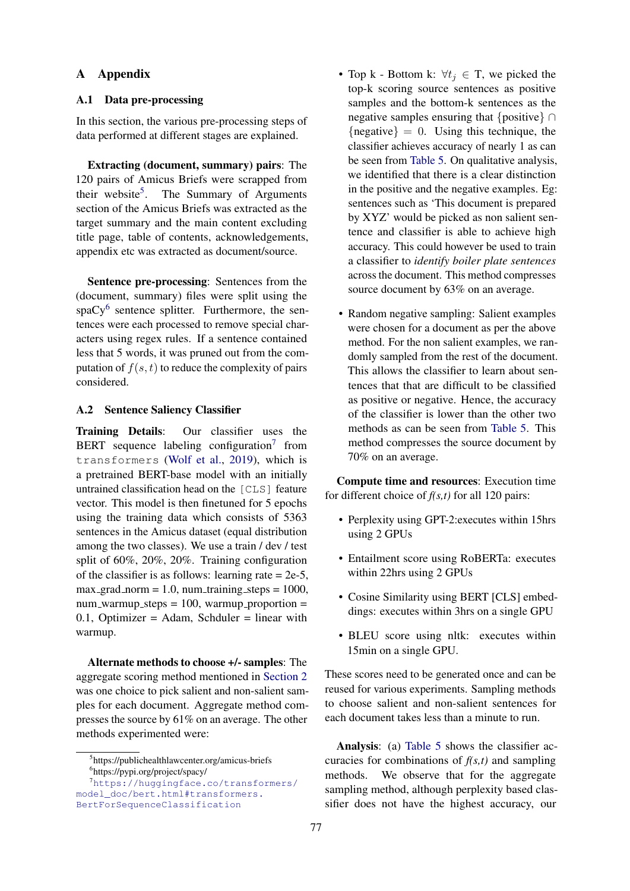### A Appendix

### A.1 Data pre-processing

In this section, the various pre-processing steps of data performed at different stages are explained.

Extracting (document, summary) pairs: The 120 pairs of Amicus Briefs were scrapped from their website<sup>[5](#page-6-1)</sup>. The Summary of Arguments section of the Amicus Briefs was extracted as the target summary and the main content excluding title page, table of contents, acknowledgements, appendix etc was extracted as document/source.

Sentence pre-processing: Sentences from the (document, summary) files were split using the spaCy<sup>[6](#page-6-2)</sup> sentence splitter. Furthermore, the sentences were each processed to remove special characters using regex rules. If a sentence contained less that 5 words, it was pruned out from the computation of  $f(s, t)$  to reduce the complexity of pairs considered.

#### <span id="page-6-0"></span>A.2 Sentence Saliency Classifier

Training Details: Our classifier uses the BERT sequence labeling configuration<sup>[7](#page-6-3)</sup> from transformers [\(Wolf et al.,](#page-5-10) [2019\)](#page-5-10), which is a pretrained BERT-base model with an initially untrained classification head on the [CLS] feature vector. This model is then finetuned for 5 epochs using the training data which consists of 5363 sentences in the Amicus dataset (equal distribution among the two classes). We use a train / dev / test split of 60%, 20%, 20%. Training configuration of the classifier is as follows: learning rate  $= 2e-5$ ,  $max_{\text{grad\_norm}} = 1.0$ , num training steps = 1000,  $num\_warmup\_steps = 100$ , warmup\_proportion = 0.1, Optimizer = Adam, Schduler = linear with warmup.

Alternate methods to choose +/- samples: The aggregate scoring method mentioned in [Section 2](#page-1-0) was one choice to pick salient and non-salient samples for each document. Aggregate method compresses the source by 61% on an average. The other methods experimented were:

- Top k Bottom k:  $\forall t_j \in T$ , we picked the top-k scoring source sentences as positive samples and the bottom-k sentences as the negative samples ensuring that {positive} ∩  ${negative} = 0$ . Using this technique, the classifier achieves accuracy of nearly 1 as can be seen from [Table 5.](#page-7-1) On qualitative analysis, we identified that there is a clear distinction in the positive and the negative examples. Eg: sentences such as 'This document is prepared by XYZ' would be picked as non salient sentence and classifier is able to achieve high accuracy. This could however be used to train a classifier to *identify boiler plate sentences* across the document. This method compresses source document by 63% on an average.
- Random negative sampling: Salient examples were chosen for a document as per the above method. For the non salient examples, we randomly sampled from the rest of the document. This allows the classifier to learn about sentences that that are difficult to be classified as positive or negative. Hence, the accuracy of the classifier is lower than the other two methods as can be seen from [Table 5.](#page-7-1) This method compresses the source document by 70% on an average.

Compute time and resources: Execution time for different choice of *f(s,t)* for all 120 pairs:

- Perplexity using GPT-2:executes within 15hrs using 2 GPUs
- Entailment score using RoBERTa: executes within 22hrs using 2 GPUs
- Cosine Similarity using BERT [CLS] embeddings: executes within 3hrs on a single GPU
- BLEU score using nltk: executes within 15min on a single GPU.

These scores need to be generated once and can be reused for various experiments. Sampling methods to choose salient and non-salient sentences for each document takes less than a minute to run.

Analysis: (a) [Table 5](#page-7-1) shows the classifier accuracies for combinations of *f(s,t)* and sampling methods. We observe that for the aggregate sampling method, although perplexity based classifier does not have the highest accuracy, our

<span id="page-6-2"></span><span id="page-6-1"></span><sup>5</sup> https://publichealthlawcenter.org/amicus-briefs 6 https://pypi.org/project/spacy/

<span id="page-6-3"></span><sup>7</sup>[https://huggingface.co/transformers/](https://huggingface.co/transformers/model_doc/bert.html##transformers.BertForSequenceClassification) [model\\_doc/bert.html#transformers.](https://huggingface.co/transformers/model_doc/bert.html##transformers.BertForSequenceClassification) [BertForSequenceClassification](https://huggingface.co/transformers/model_doc/bert.html##transformers.BertForSequenceClassification)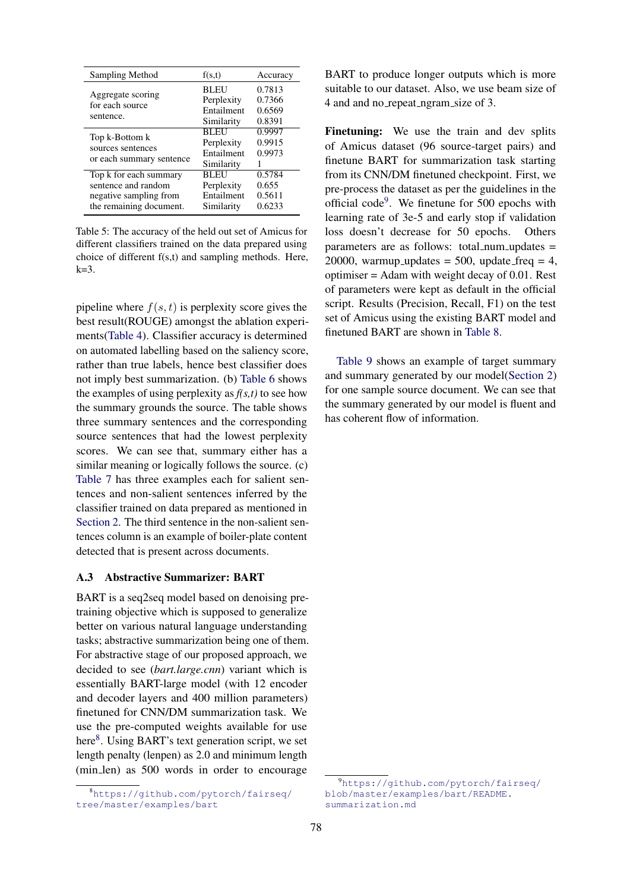<span id="page-7-1"></span>

| Sampling Method                                                                                    | f(s,t)                                                | Accuracy                             |
|----------------------------------------------------------------------------------------------------|-------------------------------------------------------|--------------------------------------|
| Aggregate scoring<br>for each source<br>sentence.                                                  | <b>BLEU</b><br>Perplexity<br>Entailment<br>Similarity | 0.7813<br>0.7366<br>0.6569<br>0.8391 |
| Top k-Bottom k<br>sources sentences<br>or each summary sentence                                    | <b>BLEU</b><br>Perplexity<br>Entailment<br>Similarity | 0.9997<br>0.9915<br>0.9973           |
| Top k for each summary<br>sentence and random<br>negative sampling from<br>the remaining document. | <b>BLEU</b><br>Perplexity<br>Entailment<br>Similarity | 0.5784<br>0.655<br>0.5611<br>0.6233  |

Table 5: The accuracy of the held out set of Amicus for different classifiers trained on the data prepared using choice of different f(s,t) and sampling methods. Here,  $k=3$ .

pipeline where  $f(s, t)$  is perplexity score gives the best result(ROUGE) amongst the ablation experiments[\(Table 4\)](#page-3-5). Classifier accuracy is determined on automated labelling based on the saliency score, rather than true labels, hence best classifier does not imply best summarization. (b) [Table 6](#page-8-0) shows the examples of using perplexity as  $f(s,t)$  to see how the summary grounds the source. The table shows three summary sentences and the corresponding source sentences that had the lowest perplexity scores. We can see that, summary either has a similar meaning or logically follows the source. (c) [Table 7](#page-8-1) has three examples each for salient sentences and non-salient sentences inferred by the classifier trained on data prepared as mentioned in [Section 2.](#page-1-0) The third sentence in the non-salient sentences column is an example of boiler-plate content detected that is present across documents.

# <span id="page-7-0"></span>A.3 Abstractive Summarizer: BART

BART is a seq2seq model based on denoising pretraining objective which is supposed to generalize better on various natural language understanding tasks; abstractive summarization being one of them. For abstractive stage of our proposed approach, we decided to see (*bart.large.cnn*) variant which is essentially BART-large model (with 12 encoder and decoder layers and 400 million parameters) finetuned for CNN/DM summarization task. We use the pre-computed weights available for use here<sup>[8](#page-7-2)</sup>. Using BART's text generation script, we set length penalty (lenpen) as 2.0 and minimum length (min len) as 500 words in order to encourage

BART to produce longer outputs which is more suitable to our dataset. Also, we use beam size of 4 and and no repeat ngram size of 3.

Finetuning: We use the train and dev splits of Amicus dataset (96 source-target pairs) and finetune BART for summarization task starting from its CNN/DM finetuned checkpoint. First, we pre-process the dataset as per the guidelines in the official code<sup>[9](#page-7-3)</sup>. We finetune for 500 epochs with learning rate of 3e-5 and early stop if validation loss doesn't decrease for 50 epochs. Others parameters are as follows: total\_num\_updates = 20000, warmup updates =  $500$ , update freq = 4, optimiser = Adam with weight decay of 0.01. Rest of parameters were kept as default in the official script. Results (Precision, Recall, F1) on the test set of Amicus using the existing BART model and finetuned BART are shown in [Table 8.](#page-8-2)

[Table 9](#page-9-0) shows an example of target summary and summary generated by our model[\(Section 2\)](#page-1-0) for one sample source document. We can see that the summary generated by our model is fluent and has coherent flow of information.

<span id="page-7-2"></span><sup>8</sup>[https://github.com/pytorch/fairseq/](https://github.com/pytorch/fairseq/tree/master/examples/bart) [tree/master/examples/bart](https://github.com/pytorch/fairseq/tree/master/examples/bart)

<span id="page-7-3"></span><sup>9</sup>[https://github.com/pytorch/fairseq/](https://github.com/pytorch/fairseq/blob/master/examples/bart/README.summarization.md) [blob/master/examples/bart/README.](https://github.com/pytorch/fairseq/blob/master/examples/bart/README.summarization.md) [summarization.md](https://github.com/pytorch/fairseq/blob/master/examples/bart/README.summarization.md)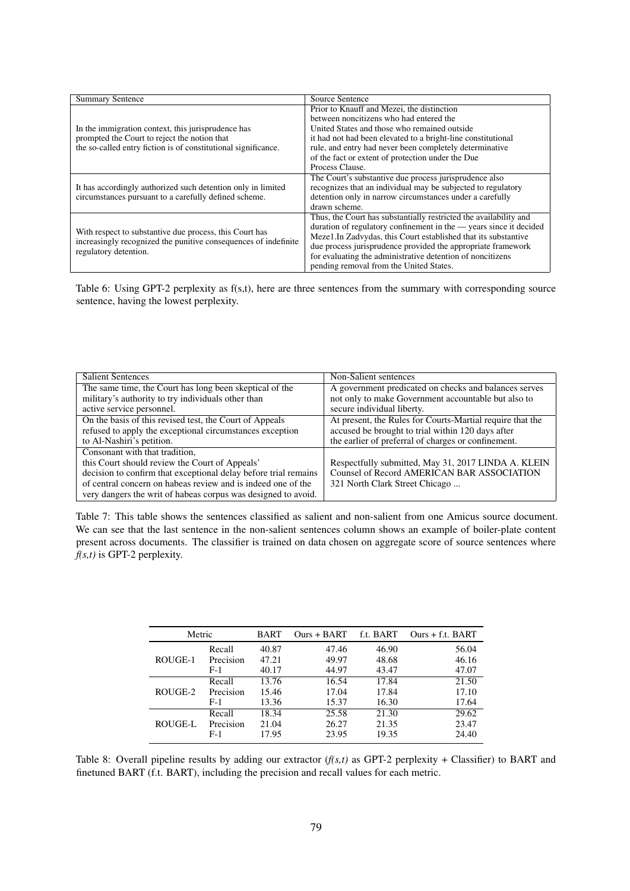<span id="page-8-0"></span>

| <b>Summary Sentence</b>                                                                                                                             | Source Sentence                                                    |  |  |
|-----------------------------------------------------------------------------------------------------------------------------------------------------|--------------------------------------------------------------------|--|--|
|                                                                                                                                                     | Prior to Knauff and Mezei, the distinction                         |  |  |
|                                                                                                                                                     | between noncitizens who had entered the                            |  |  |
| In the immigration context, this jurisprudence has                                                                                                  | United States and those who remained outside                       |  |  |
| prompted the Court to reject the notion that                                                                                                        | it had not had been elevated to a bright-line constitutional       |  |  |
| the so-called entry fiction is of constitutional significance.                                                                                      | rule, and entry had never been completely determinative            |  |  |
|                                                                                                                                                     | of the fact or extent of protection under the Due                  |  |  |
|                                                                                                                                                     | Process Clause.                                                    |  |  |
|                                                                                                                                                     | The Court's substantive due process jurisprudence also             |  |  |
| It has accordingly authorized such detention only in limited                                                                                        | recognizes that an individual may be subjected to regulatory       |  |  |
| circumstances pursuant to a carefully defined scheme.                                                                                               | detention only in narrow circumstances under a carefully           |  |  |
|                                                                                                                                                     | drawn scheme.                                                      |  |  |
|                                                                                                                                                     | Thus, the Court has substantially restricted the availability and  |  |  |
| With respect to substantive due process, this Court has<br>increasingly recognized the punitive consequences of indefinite<br>regulatory detention. | duration of regulatory confinement in the - years since it decided |  |  |
|                                                                                                                                                     | Meze1.In Zadvydas, this Court established that its substantive     |  |  |
|                                                                                                                                                     | due process jurisprudence provided the appropriate framework       |  |  |
|                                                                                                                                                     | for evaluating the administrative detention of noncitizens         |  |  |
|                                                                                                                                                     | pending removal from the United States.                            |  |  |

Table 6: Using GPT-2 perplexity as f(s,t), here are three sentences from the summary with corresponding source sentence, having the lowest perplexity.

<span id="page-8-1"></span>

| <b>Salient Sentences</b>                                        | Non-Salient sentences                                     |
|-----------------------------------------------------------------|-----------------------------------------------------------|
| The same time, the Court has long been skeptical of the         | A government predicated on checks and balances serves     |
| military's authority to try individuals other than              | not only to make Government accountable but also to       |
| active service personnel.                                       | secure individual liberty.                                |
| On the basis of this revised test, the Court of Appeals         | At present, the Rules for Courts-Martial require that the |
| refused to apply the exceptional circumstances exception        | accused be brought to trial within 120 days after         |
| to Al-Nashiri's petition.                                       | the earlier of preferral of charges or confinement.       |
| Consonant with that tradition,                                  |                                                           |
| this Court should review the Court of Appeals'                  | Respectfully submitted, May 31, 2017 LINDA A. KLEIN       |
| decision to confirm that exceptional delay before trial remains | <b>Counsel of Record AMERICAN BAR ASSOCIATION</b>         |
| of central concern on habeas review and is indeed one of the    | 321 North Clark Street Chicago                            |
| very dangers the writ of habeas corpus was designed to avoid.   |                                                           |

Table 7: This table shows the sentences classified as salient and non-salient from one Amicus source document. We can see that the last sentence in the non-salient sentences column shows an example of boiler-plate content present across documents. The classifier is trained on data chosen on aggregate score of source sentences where *f(s,t)* is GPT-2 perplexity.

<span id="page-8-2"></span>

| Metric  |           | <b>BART</b> | $Ours + BART$ | f.t. BART | Ours + f.t. BART |
|---------|-----------|-------------|---------------|-----------|------------------|
|         | Recall    | 40.87       | 47.46         | 46.90     | 56.04            |
| ROUGE-1 | Precision | 47.21       | 49.97         | 48.68     | 46.16            |
|         | $F-1$     | 40.17       | 44.97         | 43.47     | 47.07            |
|         | Recall    | 13.76       | 16.54         | 17.84     | 21.50            |
| ROUGE-2 | Precision | 15.46       | 17.04         | 17.84     | 17.10            |
|         | $F-1$     | 13.36       | 15.37         | 16.30     | 17.64            |
|         | Recall    | 18.34       | 25.58         | 21.30     | 29.62            |
| ROUGE-L | Precision | 21.04       | 26.27         | 21.35     | 23.47            |
|         | $F-1$     | 17.95       | 23.95         | 19.35     | 24.40            |

Table 8: Overall pipeline results by adding our extractor  $(f(s,t))$  as GPT-2 perplexity + Classifier) to BART and finetuned BART (f.t. BART), including the precision and recall values for each metric.